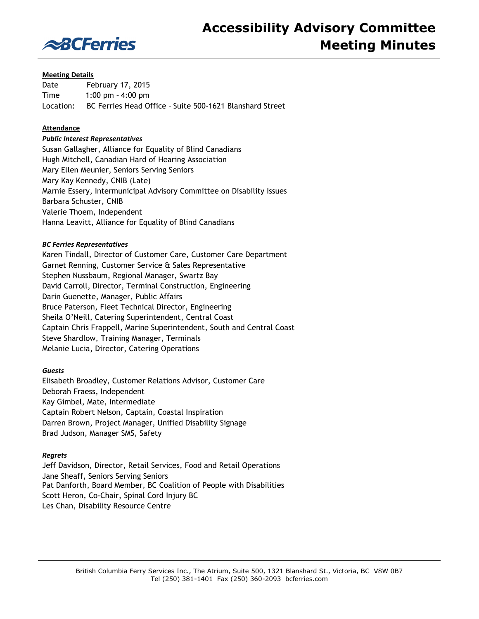

## **Meeting Details**

Date February 17, 2015 Time 1:00 pm – 4:00 pm Location: BC Ferries Head Office – Suite 500-1621 Blanshard Street

# **Attendance**

## *Public Interest Representatives*

Susan Gallagher, Alliance for Equality of Blind Canadians Hugh Mitchell, Canadian Hard of Hearing Association Mary Ellen Meunier, Seniors Serving Seniors Mary Kay Kennedy, CNIB (Late) Marnie Essery, Intermunicipal Advisory Committee on Disability Issues Barbara Schuster, CNIB Valerie Thoem, Independent Hanna Leavitt, Alliance for Equality of Blind Canadians

## *BC Ferries Representatives*

Karen Tindall, Director of Customer Care, Customer Care Department Garnet Renning, Customer Service & Sales Representative Stephen Nussbaum, Regional Manager, Swartz Bay David Carroll, Director, Terminal Construction, Engineering Darin Guenette, Manager, Public Affairs Bruce Paterson, Fleet Technical Director, Engineering Sheila O'Neill, Catering Superintendent, Central Coast Captain Chris Frappell, Marine Superintendent, South and Central Coast Steve Shardlow, Training Manager, Terminals Melanie Lucia, Director, Catering Operations

### *Guests*

Elisabeth Broadley, Customer Relations Advisor, Customer Care Deborah Fraess, Independent Kay Gimbel, Mate, Intermediate Captain Robert Nelson, Captain, Coastal Inspiration Darren Brown, Project Manager, Unified Disability Signage Brad Judson, Manager SMS, Safety

### *Regrets*

Jeff Davidson, Director, Retail Services, Food and Retail Operations Jane Sheaff, Seniors Serving Seniors Pat Danforth, Board Member, BC Coalition of People with Disabilities Scott Heron, Co-Chair, Spinal Cord Injury BC Les Chan, Disability Resource Centre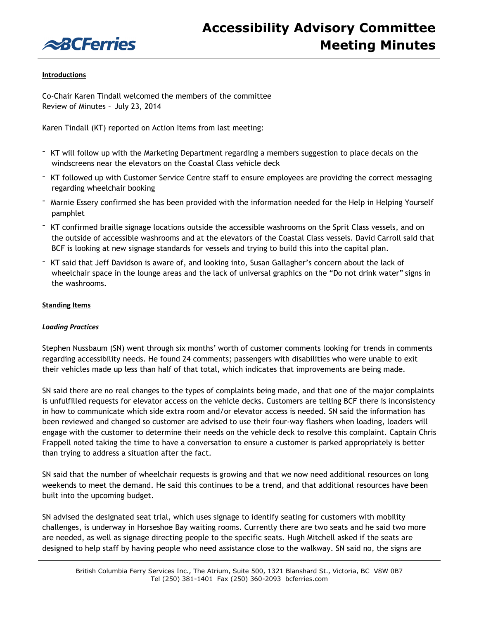

## **Introductions**

Co-Chair Karen Tindall welcomed the members of the committee Review of Minutes – July 23, 2014

Karen Tindall (KT) reported on Action Items from last meeting:

- KT will follow up with the Marketing Department regarding a members suggestion to place decals on the windscreens near the elevators on the Coastal Class vehicle deck
- KT followed up with Customer Service Centre staff to ensure employees are providing the correct messaging regarding wheelchair booking
- Marnie Essery confirmed she has been provided with the information needed for the Help in Helping Yourself pamphlet
- KT confirmed braille signage locations outside the accessible washrooms on the Sprit Class vessels, and on the outside of accessible washrooms and at the elevators of the Coastal Class vessels. David Carroll said that BCF is looking at new signage standards for vessels and trying to build this into the capital plan.
- KT said that Jeff Davidson is aware of, and looking into, Susan Gallagher's concern about the lack of wheelchair space in the lounge areas and the lack of universal graphics on the "Do not drink water" signs in the washrooms.

## **Standing Items**

### *Loading Practices*

Stephen Nussbaum (SN) went through six months' worth of customer comments looking for trends in comments regarding accessibility needs. He found 24 comments; passengers with disabilities who were unable to exit their vehicles made up less than half of that total, which indicates that improvements are being made.

SN said there are no real changes to the types of complaints being made, and that one of the major complaints is unfulfilled requests for elevator access on the vehicle decks. Customers are telling BCF there is inconsistency in how to communicate which side extra room and/or elevator access is needed. SN said the information has been reviewed and changed so customer are advised to use their four-way flashers when loading, loaders will engage with the customer to determine their needs on the vehicle deck to resolve this complaint. Captain Chris Frappell noted taking the time to have a conversation to ensure a customer is parked appropriately is better than trying to address a situation after the fact.

SN said that the number of wheelchair requests is growing and that we now need additional resources on long weekends to meet the demand. He said this continues to be a trend, and that additional resources have been built into the upcoming budget.

SN advised the designated seat trial, which uses signage to identify seating for customers with mobility challenges, is underway in Horseshoe Bay waiting rooms. Currently there are two seats and he said two more are needed, as well as signage directing people to the specific seats. Hugh Mitchell asked if the seats are designed to help staff by having people who need assistance close to the walkway. SN said no, the signs are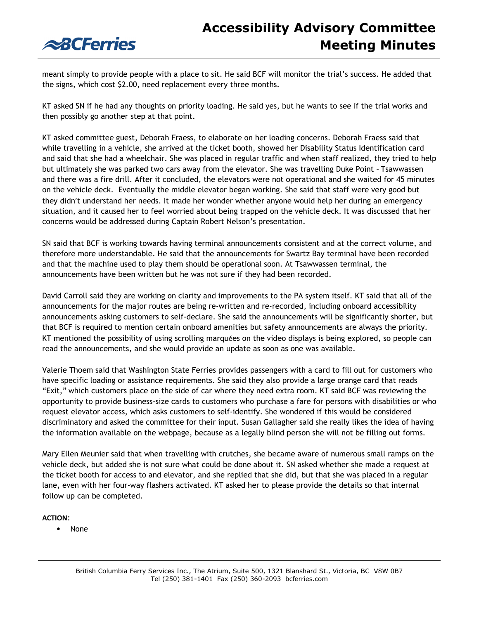

meant simply to provide people with a place to sit. He said BCF will monitor the trial's success. He added that the signs, which cost \$2.00, need replacement every three months.

KT asked SN if he had any thoughts on priority loading. He said yes, but he wants to see if the trial works and then possibly go another step at that point.

KT asked committee guest, Deborah Fraess, to elaborate on her loading concerns. Deborah Fraess said that while travelling in a vehicle, she arrived at the ticket booth, showed her Disability Status Identification card and said that she had a wheelchair. She was placed in regular traffic and when staff realized, they tried to help but ultimately she was parked two cars away from the elevator. She was travelling Duke Point – Tsawwassen and there was a fire drill. After it concluded, the elevators were not operational and she waited for 45 minutes on the vehicle deck. Eventually the middle elevator began working. She said that staff were very good but they didn't understand her needs. It made her wonder whether anyone would help her during an emergency situation, and it caused her to feel worried about being trapped on the vehicle deck. It was discussed that her concerns would be addressed during Captain Robert Nelson's presentation.

SN said that BCF is working towards having terminal announcements consistent and at the correct volume, and therefore more understandable. He said that the announcements for Swartz Bay terminal have been recorded and that the machine used to play them should be operational soon. At Tsawwassen terminal, the announcements have been written but he was not sure if they had been recorded.

David Carroll said they are working on clarity and improvements to the PA system itself. KT said that all of the announcements for the major routes are being re-written and re-recorded, including onboard accessibility announcements asking customers to self-declare. She said the announcements will be significantly shorter, but that BCF is required to mention certain onboard amenities but safety announcements are always the priority. KT mentioned the possibility of using scrolling marquées on the video displays is being explored, so people can read the announcements, and she would provide an update as soon as one was available.

Valerie Thoem said that Washington State Ferries provides passengers with a card to fill out for customers who have specific loading or assistance requirements. She said they also provide a large orange card that reads "Exit," which customers place on the side of car where they need extra room. KT said BCF was reviewing the opportunity to provide business-size cards to customers who purchase a fare for persons with disabilities or who request elevator access, which asks customers to self-identify. She wondered if this would be considered discriminatory and asked the committee for their input. Susan Gallagher said she really likes the idea of having the information available on the webpage, because as a legally blind person she will not be filling out forms.

Mary Ellen Meunier said that when travelling with crutches, she became aware of numerous small ramps on the vehicle deck, but added she is not sure what could be done about it. SN asked whether she made a request at the ticket booth for access to and elevator, and she replied that she did, but that she was placed in a regular lane, even with her four-way flashers activated. KT asked her to please provide the details so that internal follow up can be completed.

**ACTION**:

• None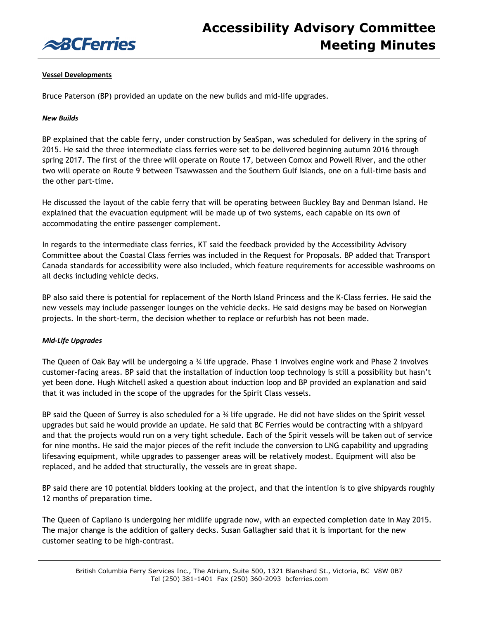

## **Vessel Developments**

Bruce Paterson (BP) provided an update on the new builds and mid-life upgrades.

## *New Builds*

BP explained that the cable ferry, under construction by SeaSpan, was scheduled for delivery in the spring of 2015. He said the three intermediate class ferries were set to be delivered beginning autumn 2016 through spring 2017. The first of the three will operate on Route 17, between Comox and Powell River, and the other two will operate on Route 9 between Tsawwassen and the Southern Gulf Islands, one on a full-time basis and the other part-time.

He discussed the layout of the cable ferry that will be operating between Buckley Bay and Denman Island. He explained that the evacuation equipment will be made up of two systems, each capable on its own of accommodating the entire passenger complement.

In regards to the intermediate class ferries, KT said the feedback provided by the Accessibility Advisory Committee about the Coastal Class ferries was included in the Request for Proposals. BP added that Transport Canada standards for accessibility were also included, which feature requirements for accessible washrooms on all decks including vehicle decks.

BP also said there is potential for replacement of the North Island Princess and the K-Class ferries. He said the new vessels may include passenger lounges on the vehicle decks. He said designs may be based on Norwegian projects. In the short-term, the decision whether to replace or refurbish has not been made.

# *Mid-Life Upgrades*

The Queen of Oak Bay will be undergoing a ¾ life upgrade. Phase 1 involves engine work and Phase 2 involves customer-facing areas. BP said that the installation of induction loop technology is still a possibility but hasn't yet been done. Hugh Mitchell asked a question about induction loop and BP provided an explanation and said that it was included in the scope of the upgrades for the Spirit Class vessels.

BP said the Queen of Surrey is also scheduled for a ¾ life upgrade. He did not have slides on the Spirit vessel upgrades but said he would provide an update. He said that BC Ferries would be contracting with a shipyard and that the projects would run on a very tight schedule. Each of the Spirit vessels will be taken out of service for nine months. He said the major pieces of the refit include the conversion to LNG capability and upgrading lifesaving equipment, while upgrades to passenger areas will be relatively modest. Equipment will also be replaced, and he added that structurally, the vessels are in great shape.

BP said there are 10 potential bidders looking at the project, and that the intention is to give shipyards roughly 12 months of preparation time.

The Queen of Capilano is undergoing her midlife upgrade now, with an expected completion date in May 2015. The major change is the addition of gallery decks. Susan Gallagher said that it is important for the new customer seating to be high-contrast.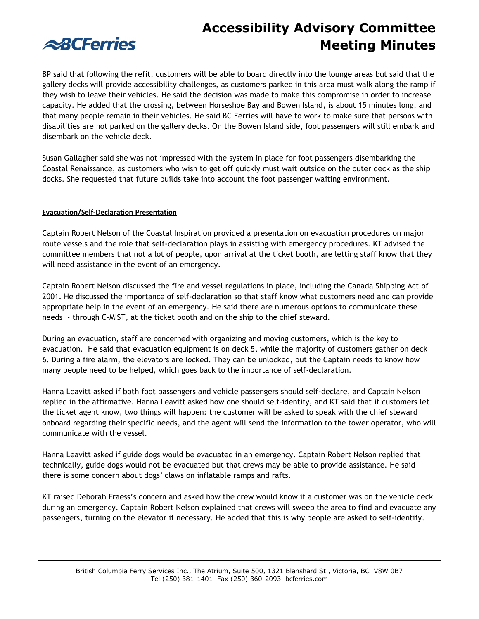# **Accessibility Advisory Committee Meeting Minutes**



BP said that following the refit, customers will be able to board directly into the lounge areas but said that the gallery decks will provide accessibility challenges, as customers parked in this area must walk along the ramp if they wish to leave their vehicles. He said the decision was made to make this compromise in order to increase capacity. He added that the crossing, between Horseshoe Bay and Bowen Island, is about 15 minutes long, and that many people remain in their vehicles. He said BC Ferries will have to work to make sure that persons with disabilities are not parked on the gallery decks. On the Bowen Island side, foot passengers will still embark and disembark on the vehicle deck.

Susan Gallagher said she was not impressed with the system in place for foot passengers disembarking the Coastal Renaissance, as customers who wish to get off quickly must wait outside on the outer deck as the ship docks. She requested that future builds take into account the foot passenger waiting environment.

# **Evacuation/Self-Declaration Presentation**

Captain Robert Nelson of the Coastal Inspiration provided a presentation on evacuation procedures on major route vessels and the role that self-declaration plays in assisting with emergency procedures. KT advised the committee members that not a lot of people, upon arrival at the ticket booth, are letting staff know that they will need assistance in the event of an emergency.

Captain Robert Nelson discussed the fire and vessel regulations in place, including the Canada Shipping Act of 2001. He discussed the importance of self-declaration so that staff know what customers need and can provide appropriate help in the event of an emergency. He said there are numerous options to communicate these needs - through C-MIST, at the ticket booth and on the ship to the chief steward.

During an evacuation, staff are concerned with organizing and moving customers, which is the key to evacuation. He said that evacuation equipment is on deck 5, while the majority of customers gather on deck 6. During a fire alarm, the elevators are locked. They can be unlocked, but the Captain needs to know how many people need to be helped, which goes back to the importance of self-declaration.

Hanna Leavitt asked if both foot passengers and vehicle passengers should self-declare, and Captain Nelson replied in the affirmative. Hanna Leavitt asked how one should self-identify, and KT said that if customers let the ticket agent know, two things will happen: the customer will be asked to speak with the chief steward onboard regarding their specific needs, and the agent will send the information to the tower operator, who will communicate with the vessel.

Hanna Leavitt asked if guide dogs would be evacuated in an emergency. Captain Robert Nelson replied that technically, guide dogs would not be evacuated but that crews may be able to provide assistance. He said there is some concern about dogs' claws on inflatable ramps and rafts.

KT raised Deborah Fraess's concern and asked how the crew would know if a customer was on the vehicle deck during an emergency. Captain Robert Nelson explained that crews will sweep the area to find and evacuate any passengers, turning on the elevator if necessary. He added that this is why people are asked to self-identify.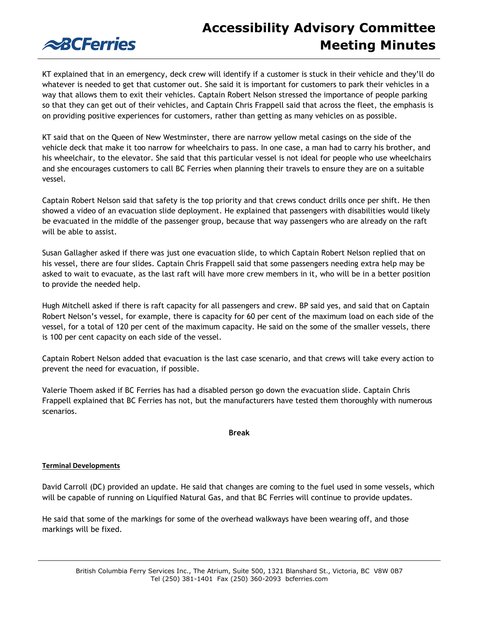# **Accessibility Advisory Committee Meeting Minutes**



KT explained that in an emergency, deck crew will identify if a customer is stuck in their vehicle and they'll do whatever is needed to get that customer out. She said it is important for customers to park their vehicles in a way that allows them to exit their vehicles. Captain Robert Nelson stressed the importance of people parking so that they can get out of their vehicles, and Captain Chris Frappell said that across the fleet, the emphasis is on providing positive experiences for customers, rather than getting as many vehicles on as possible.

KT said that on the Queen of New Westminster, there are narrow yellow metal casings on the side of the vehicle deck that make it too narrow for wheelchairs to pass. In one case, a man had to carry his brother, and his wheelchair, to the elevator. She said that this particular vessel is not ideal for people who use wheelchairs and she encourages customers to call BC Ferries when planning their travels to ensure they are on a suitable vessel.

Captain Robert Nelson said that safety is the top priority and that crews conduct drills once per shift. He then showed a video of an evacuation slide deployment. He explained that passengers with disabilities would likely be evacuated in the middle of the passenger group, because that way passengers who are already on the raft will be able to assist.

Susan Gallagher asked if there was just one evacuation slide, to which Captain Robert Nelson replied that on his vessel, there are four slides. Captain Chris Frappell said that some passengers needing extra help may be asked to wait to evacuate, as the last raft will have more crew members in it, who will be in a better position to provide the needed help.

Hugh Mitchell asked if there is raft capacity for all passengers and crew. BP said yes, and said that on Captain Robert Nelson's vessel, for example, there is capacity for 60 per cent of the maximum load on each side of the vessel, for a total of 120 per cent of the maximum capacity. He said on the some of the smaller vessels, there is 100 per cent capacity on each side of the vessel.

Captain Robert Nelson added that evacuation is the last case scenario, and that crews will take every action to prevent the need for evacuation, if possible.

Valerie Thoem asked if BC Ferries has had a disabled person go down the evacuation slide. Captain Chris Frappell explained that BC Ferries has not, but the manufacturers have tested them thoroughly with numerous scenarios.

### **Break**

# **Terminal Developments**

David Carroll (DC) provided an update. He said that changes are coming to the fuel used in some vessels, which will be capable of running on Liquified Natural Gas, and that BC Ferries will continue to provide updates.

He said that some of the markings for some of the overhead walkways have been wearing off, and those markings will be fixed.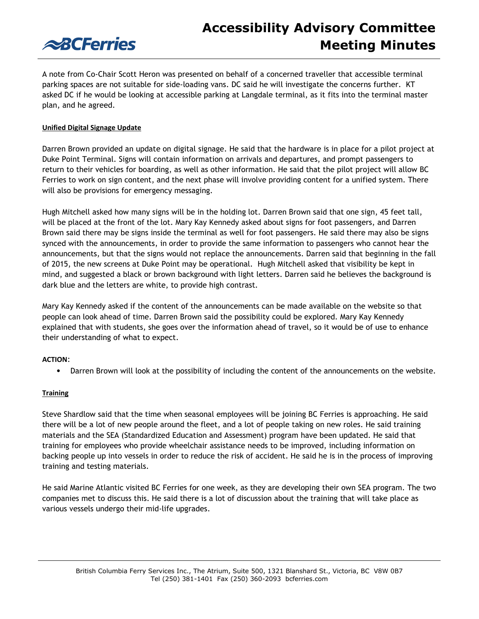

# **Accessibility Advisory Committee Meeting Minutes**

A note from Co-Chair Scott Heron was presented on behalf of a concerned traveller that accessible terminal parking spaces are not suitable for side-loading vans. DC said he will investigate the concerns further. KT asked DC if he would be looking at accessible parking at Langdale terminal, as it fits into the terminal master plan, and he agreed.

## **Unified Digital Signage Update**

Darren Brown provided an update on digital signage. He said that the hardware is in place for a pilot project at Duke Point Terminal. Signs will contain information on arrivals and departures, and prompt passengers to return to their vehicles for boarding, as well as other information. He said that the pilot project will allow BC Ferries to work on sign content, and the next phase will involve providing content for a unified system. There will also be provisions for emergency messaging.

Hugh Mitchell asked how many signs will be in the holding lot. Darren Brown said that one sign, 45 feet tall, will be placed at the front of the lot. Mary Kay Kennedy asked about signs for foot passengers, and Darren Brown said there may be signs inside the terminal as well for foot passengers. He said there may also be signs synced with the announcements, in order to provide the same information to passengers who cannot hear the announcements, but that the signs would not replace the announcements. Darren said that beginning in the fall of 2015, the new screens at Duke Point may be operational. Hugh Mitchell asked that visibility be kept in mind, and suggested a black or brown background with light letters. Darren said he believes the background is dark blue and the letters are white, to provide high contrast.

Mary Kay Kennedy asked if the content of the announcements can be made available on the website so that people can look ahead of time. Darren Brown said the possibility could be explored. Mary Kay Kennedy explained that with students, she goes over the information ahead of travel, so it would be of use to enhance their understanding of what to expect.

### **ACTION**:

• Darren Brown will look at the possibility of including the content of the announcements on the website.

### **Training**

Steve Shardlow said that the time when seasonal employees will be joining BC Ferries is approaching. He said there will be a lot of new people around the fleet, and a lot of people taking on new roles. He said training materials and the SEA (Standardized Education and Assessment) program have been updated. He said that training for employees who provide wheelchair assistance needs to be improved, including information on backing people up into vessels in order to reduce the risk of accident. He said he is in the process of improving training and testing materials.

He said Marine Atlantic visited BC Ferries for one week, as they are developing their own SEA program. The two companies met to discuss this. He said there is a lot of discussion about the training that will take place as various vessels undergo their mid-life upgrades.